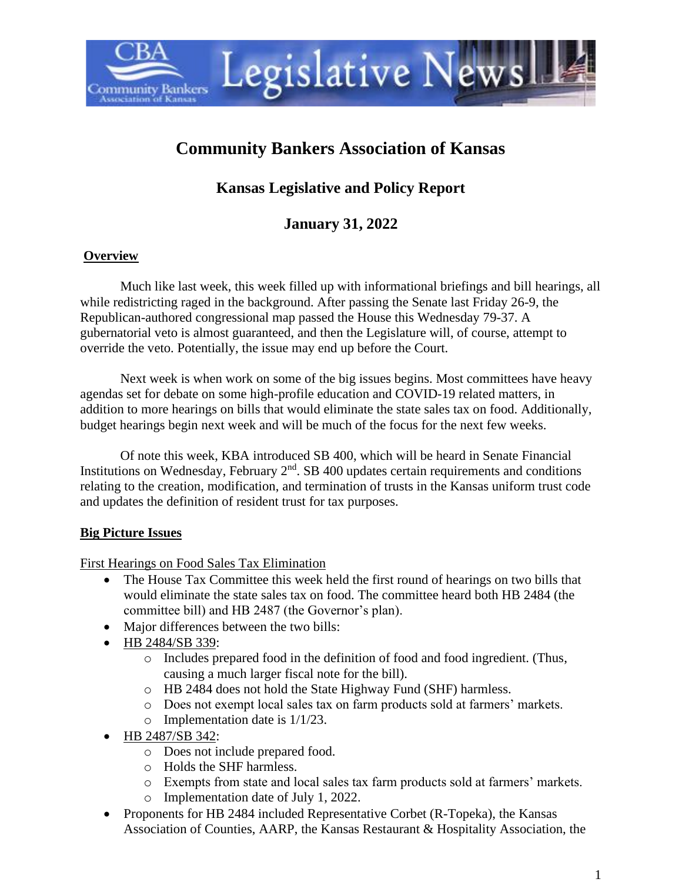

# **Community Bankers Association of Kansas**

## **Kansas Legislative and Policy Report**

## **January 31, 2022**

#### **Overview**

Much like last week, this week filled up with informational briefings and bill hearings, all while redistricting raged in the background. After passing the Senate last Friday 26-9, the Republican-authored congressional map passed the House this Wednesday 79-37. A gubernatorial veto is almost guaranteed, and then the Legislature will, of course, attempt to override the veto. Potentially, the issue may end up before the Court.

Next week is when work on some of the big issues begins. Most committees have heavy agendas set for debate on some high-profile education and COVID-19 related matters, in addition to more hearings on bills that would eliminate the state sales tax on food. Additionally, budget hearings begin next week and will be much of the focus for the next few weeks.

Of note this week, KBA introduced SB 400, which will be heard in Senate Financial Institutions on Wednesday, February  $2<sup>nd</sup>$ . SB 400 updates certain requirements and conditions relating to the creation, modification, and termination of trusts in the Kansas uniform trust code and updates the definition of resident trust for tax purposes.

#### **Big Picture Issues**

First Hearings on Food Sales Tax Elimination

- The House Tax Committee this week held the first round of hearings on two bills that would eliminate the state sales tax on food. The committee heard both HB 2484 (the committee bill) and HB 2487 (the Governor's plan).
- Major differences between the two bills:
- HB 2484/SB 339:
	- $\circ$  Includes prepared food in the definition of food and food ingredient. (Thus, causing a much larger fiscal note for the bill).
	- o HB 2484 does not hold the State Highway Fund (SHF) harmless.
	- o Does not exempt local sales tax on farm products sold at farmers' markets.
	- o Implementation date is 1/1/23.
- HB 2487/SB 342:
	- o Does not include prepared food.
	- o Holds the SHF harmless.
	- o Exempts from state and local sales tax farm products sold at farmers' markets.
	- o Implementation date of July 1, 2022.
- Proponents for HB 2484 included Representative Corbet (R-Topeka), the Kansas Association of Counties, AARP, the Kansas Restaurant & Hospitality Association, the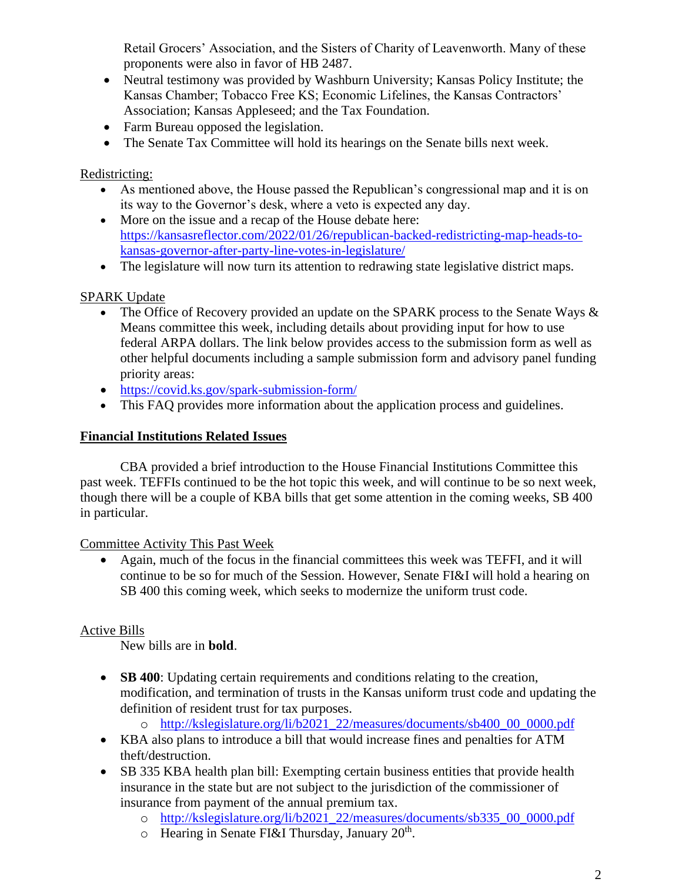Retail Grocers' Association, and the Sisters of Charity of Leavenworth. Many of these proponents were also in favor of HB 2487.

- Neutral testimony was provided by Washburn University; Kansas Policy Institute; the Kansas Chamber; Tobacco Free KS; Economic Lifelines, the Kansas Contractors' Association; Kansas Appleseed; and the Tax Foundation.
- Farm Bureau opposed the legislation.
- The Senate Tax Committee will hold its hearings on the Senate bills next week.

#### Redistricting:

- As mentioned above, the House passed the Republican's congressional map and it is on its way to the Governor's desk, where a veto is expected any day.
- More on the issue and a recap of the House debate here: [https://kansasreflector.com/2022/01/26/republican-backed-redistricting-map-heads-to](https://kansasreflector.com/2022/01/26/republican-backed-redistricting-map-heads-to-kansas-governor-after-party-line-votes-in-legislature/)[kansas-governor-after-party-line-votes-in-legislature/](https://kansasreflector.com/2022/01/26/republican-backed-redistricting-map-heads-to-kansas-governor-after-party-line-votes-in-legislature/)
- The legislature will now turn its attention to redrawing state legislative district maps.

#### SPARK Update

- The Office of Recovery provided an update on the SPARK process to the Senate Ways  $\&$ Means committee this week, including details about providing input for how to use federal ARPA dollars. The link below provides access to the submission form as well as other helpful documents including a sample submission form and advisory panel funding priority areas:
- <https://covid.ks.gov/spark-submission-form/>
- This FAQ provides more information about the application process and guidelines.

#### **Financial Institutions Related Issues**

CBA provided a brief introduction to the House Financial Institutions Committee this past week. TEFFIs continued to be the hot topic this week, and will continue to be so next week, though there will be a couple of KBA bills that get some attention in the coming weeks, SB 400 in particular.

Committee Activity This Past Week

• Again, much of the focus in the financial committees this week was TEFFI, and it will continue to be so for much of the Session. However, Senate FI&I will hold a hearing on SB 400 this coming week, which seeks to modernize the uniform trust code.

#### Active Bills

New bills are in **bold**.

- **SB 400**: Updating certain requirements and conditions relating to the creation, modification, and termination of trusts in the Kansas uniform trust code and updating the definition of resident trust for tax purposes.
	- o [http://kslegislature.org/li/b2021\\_22/measures/documents/sb400\\_00\\_0000.pdf](http://kslegislature.org/li/b2021_22/measures/documents/sb400_00_0000.pdf)
- KBA also plans to introduce a bill that would increase fines and penalties for ATM theft/destruction.
- SB 335 KBA health plan bill: Exempting certain business entities that provide health insurance in the state but are not subject to the jurisdiction of the commissioner of insurance from payment of the annual premium tax.
	- o [http://kslegislature.org/li/b2021\\_22/measures/documents/sb335\\_00\\_0000.pdf](http://kslegislature.org/li/b2021_22/measures/documents/sb335_00_0000.pdf)
	- $\circ$  Hearing in Senate FI&I Thursday, January 20<sup>th</sup>.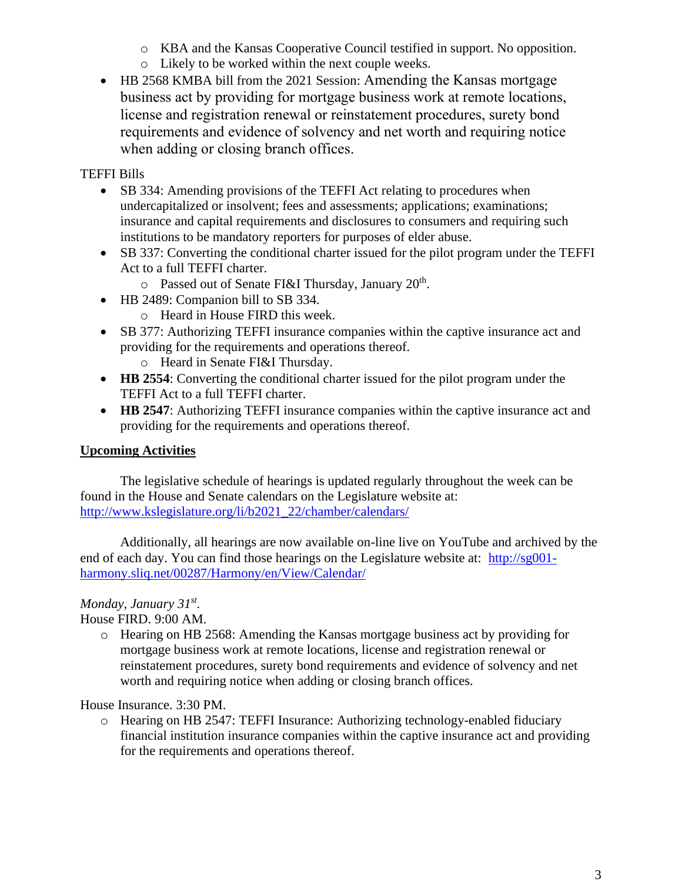- o KBA and the Kansas Cooperative Council testified in support. No opposition.
- o Likely to be worked within the next couple weeks.
- HB 2568 KMBA bill from the 2021 Session: Amending the Kansas mortgage business act by providing for mortgage business work at remote locations, license and registration renewal or reinstatement procedures, surety bond requirements and evidence of solvency and net worth and requiring notice when adding or closing branch offices.

TEFFI Bills

- SB 334: Amending provisions of the TEFFI Act relating to procedures when undercapitalized or insolvent; fees and assessments; applications; examinations; insurance and capital requirements and disclosures to consumers and requiring such institutions to be mandatory reporters for purposes of elder abuse.
- SB 337: Converting the conditional charter issued for the pilot program under the TEFFI Act to a full TEFFI charter.
	- $\circ$  Passed out of Senate FI&I Thursday, January 20<sup>th</sup>.
- HB 2489: Companion bill to SB 334.
	- o Heard in House FIRD this week.
- SB 377: Authorizing TEFFI insurance companies within the captive insurance act and providing for the requirements and operations thereof.
	- o Heard in Senate FI&I Thursday.
- **HB 2554**: Converting the conditional charter issued for the pilot program under the TEFFI Act to a full TEFFI charter.
- **HB 2547**: Authorizing TEFFI insurance companies within the captive insurance act and providing for the requirements and operations thereof.

### **Upcoming Activities**

The legislative schedule of hearings is updated regularly throughout the week can be found in the House and Senate calendars on the Legislature website at: [http://www.kslegislature.org/li/b2021\\_22/chamber/calendars/](http://www.kslegislature.org/li/b2021_22/chamber/calendars/)

Additionally, all hearings are now available on-line live on YouTube and archived by the end of each day. You can find those hearings on the Legislature website at: [http://sg001](http://sg001-harmony.sliq.net/00287/Harmony/en/View/Calendar/) [harmony.sliq.net/00287/Harmony/en/View/Calendar/](http://sg001-harmony.sliq.net/00287/Harmony/en/View/Calendar/)

## *Monday, January 31st .*

House FIRD. 9:00 AM.

o Hearing on HB 2568: Amending the Kansas mortgage business act by providing for mortgage business work at remote locations, license and registration renewal or reinstatement procedures, surety bond requirements and evidence of solvency and net worth and requiring notice when adding or closing branch offices.

House Insurance. 3:30 PM.

o Hearing on HB 2547: TEFFI Insurance: Authorizing technology-enabled fiduciary financial institution insurance companies within the captive insurance act and providing for the requirements and operations thereof.